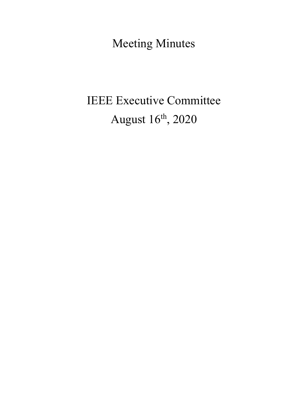Meeting Minutes

# IEEE Executive Committee August 16th, 2020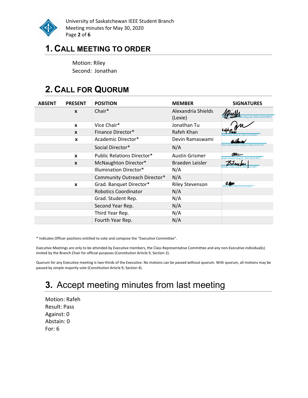

University of Saskatchewan IEEE Student Branch Meeting minutes for May 30, 2020 Page 2 of 6

## 1. CALL MEETING TO ORDER

Motion: Riley Second: Jonathan

## 2. CALL FOR QUORUM

| <b>ABSENT</b> | <b>PRESENT</b>   | <b>POSITION</b>                   | <b>MEMBER</b>                 | <b>SIGNATURES</b>                               |
|---------------|------------------|-----------------------------------|-------------------------------|-------------------------------------------------|
|               | $\mathbf{x}$     | $Chair*$                          | Alexandria Shields<br>(Lexie) | s (Aug 18, 2020 16:05 MDT)                      |
|               | X                | Vice Chair*                       | Jonathan Tu                   |                                                 |
|               | $\mathbf{x}$     | Finance Director*                 | Rafeh Khan                    | Aug 18, 2020 16:10 MDT)                         |
|               | $\boldsymbol{x}$ | Academic Director*                | Devin Ramaswami               |                                                 |
|               |                  | Social Director*                  | N/A                           | Devin Ramaswami (Aug 19, 2020 02:54 CDT)        |
|               | $\mathbf{x}$     | <b>Public Relations Director*</b> | <b>Austin Grismer</b>         | ستطلم<br>ustin Grismer (Aug 31, 2020 18:39 MDT) |
|               | $\mathbf{x}$     | McNaughton Director*              | Braeden Leisler               |                                                 |
|               |                  | Illumination Director*            | N/A                           | 0:25 MDT                                        |
|               |                  | Community Outreach Director*      | N/A                           |                                                 |
|               | X                | Grad. Banquet Director*           | <b>Riley Stevenson</b>        | RS<br>son (Aug 25, 2020 20:37 MDT)              |
|               |                  | <b>Robotics Coordinator</b>       | N/A                           |                                                 |
|               |                  | Grad. Student Rep.                | N/A                           |                                                 |
|               |                  | Second Year Rep.                  | N/A                           |                                                 |
|               |                  | Third Year Rep.                   | N/A                           |                                                 |
|               |                  | Fourth Year Rep.                  | N/A                           |                                                 |

\* Indicates Officer positions entitled to vote and compose the "Executive Committee".

Executive Meetings are only to be attended by Executive members, the Class Representative Committee and any non-Executive individual(s) invited by the Branch Chair for official purposes (Constitution Article 9, Section 2).

Quorum for any Executive meeting is two-thirds of the Executive. No motions can be passed without quorum. With quorum, all motions may be passed by simple majority vote (Constitution Article 9, Section 4).

## 3. Accept meeting minutes from last meeting

Motion: Rafeh Result: Pass Against: 0 Abstain: 0 For: 6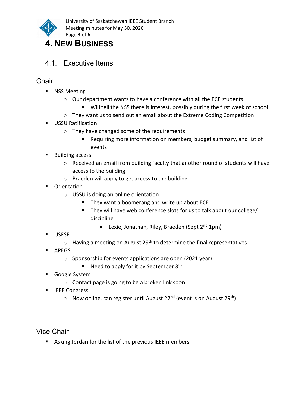

## 4. NEW BUSINESS

4.1. Executive Items

### **Chair**

- **NSS Meeting** 
	- o Our department wants to have a conference with all the ECE students
		- Will tell the NSS there is interest, possibly during the first week of school
	- o They want us to send out an email about the Extreme Coding Competition
- **USSU Ratification** 
	- o They have changed some of the requirements
		- Requiring more information on members, budget summary, and list of events
- Building access
	- o Received an email from building faculty that another round of students will have access to the building.
	- o Braeden will apply to get access to the building
- **•** Orientation
	- o USSU is doing an online orientation
		- They want a boomerang and write up about ECE
		- They will have web conference slots for us to talk about our college/ discipline
			- Elexie, Jonathan, Riley, Braeden (Sept  $2^{nd}$  1pm)
- USESF
	- $\circ$  Having a meeting on August 29<sup>th</sup> to determine the final representatives
- **APEGS** 
	- o Sponsorship for events applications are open (2021 year)
		- Need to apply for it by September  $8<sup>th</sup>$
- Google System
	- o Contact page is going to be a broken link soon
- **IEEE** Congress
	- $\circ$  Now online, can register until August 22<sup>nd</sup> (event is on August 29<sup>th</sup>)

Vice Chair

Asking Jordan for the list of the previous IEEE members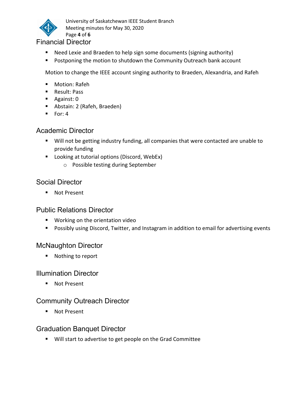

University of Saskatchewan IEEE Student Branch Meeting minutes for May 30, 2020 Page 4 of 6

#### Financial Director

- Need Lexie and Braeden to help sign some documents (signing authority)
- **Postponing the motion to shutdown the Community Outreach bank account**

Motion to change the IEEE account singing authority to Braeden, Alexandria, and Rafeh

- **Motion: Rafeh**
- **Result: Pass**
- Against: 0
- Abstain: 2 (Rafeh, Braeden)
- $\blacksquare$  For: 4

#### Academic Director

- Will not be getting industry funding, all companies that were contacted are unable to provide funding
- **Looking at tutorial options (Discord, WebEx)** 
	- o Possible testing during September

#### Social Director

■ Not Present

#### Public Relations Director

- **Working on the orientation video**
- **Possibly using Discord, Twitter, and Instagram in addition to email for advertising events**

#### McNaughton Director

■ Nothing to report

#### Illumination Director

■ Not Present

#### Community Outreach Director

■ Not Present

#### Graduation Banquet Director

**Will start to advertise to get people on the Grad Committee**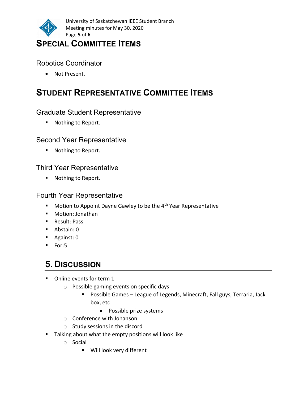

#### Robotics Coordinator

Not Present.

## STUDENT REPRESENTATIVE COMMITTEE ITEMS

#### Graduate Student Representative

**Nothing to Report.** 

#### Second Year Representative

■ Nothing to Report.

#### Third Year Representative

■ Nothing to Report.

#### Fourth Year Representative

- $\blacksquare$  Motion to Appoint Dayne Gawley to be the 4<sup>th</sup> Year Representative
- Motion: Ionathan
- **Result: Pass**
- Abstain: 0
- **Against: 0**
- For:5

## 5. DISCUSSION

- Online events for term 1
	- o Possible gaming events on specific days
		- Possible Games League of Legends, Minecraft, Fall guys, Terraria, Jack box, etc
			- Possible prize systems
	- o Conference with Johanson
	- o Study sessions in the discord
- **Talking about what the empty positions will look like** 
	- o Social
		- Will look very different